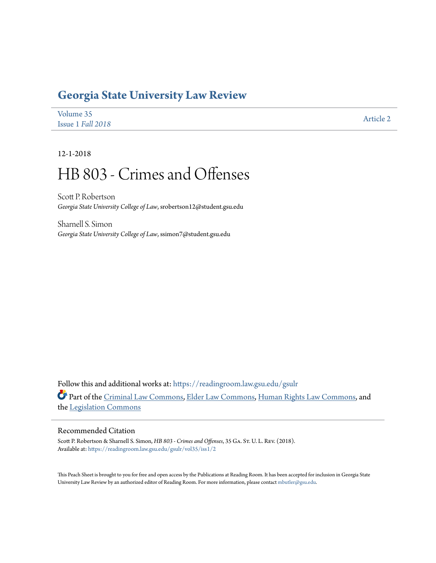# **[Georgia State University Law Review](https://readingroom.law.gsu.edu/gsulr?utm_source=readingroom.law.gsu.edu%2Fgsulr%2Fvol35%2Fiss1%2F2&utm_medium=PDF&utm_campaign=PDFCoverPages)**

| Volume 35         | <b>Article 2</b> |
|-------------------|------------------|
| Issue 1 Fall 2018 |                  |

12-1-2018

# HB 803 - Crimes and Offenses

Scott P. Robertson *Georgia State University College of Law*, srobertson12@student.gsu.edu

Sharnell S. Simon *Georgia State University College of Law*, ssimon7@student.gsu.edu

Follow this and additional works at: [https://readingroom.law.gsu.edu/gsulr](https://readingroom.law.gsu.edu/gsulr?utm_source=readingroom.law.gsu.edu%2Fgsulr%2Fvol35%2Fiss1%2F2&utm_medium=PDF&utm_campaign=PDFCoverPages) Part of the [Criminal Law Commons](http://network.bepress.com/hgg/discipline/912?utm_source=readingroom.law.gsu.edu%2Fgsulr%2Fvol35%2Fiss1%2F2&utm_medium=PDF&utm_campaign=PDFCoverPages), [Elder Law Commons,](http://network.bepress.com/hgg/discipline/842?utm_source=readingroom.law.gsu.edu%2Fgsulr%2Fvol35%2Fiss1%2F2&utm_medium=PDF&utm_campaign=PDFCoverPages) [Human Rights Law Commons,](http://network.bepress.com/hgg/discipline/847?utm_source=readingroom.law.gsu.edu%2Fgsulr%2Fvol35%2Fiss1%2F2&utm_medium=PDF&utm_campaign=PDFCoverPages) and the [Legislation Commons](http://network.bepress.com/hgg/discipline/859?utm_source=readingroom.law.gsu.edu%2Fgsulr%2Fvol35%2Fiss1%2F2&utm_medium=PDF&utm_campaign=PDFCoverPages)

# Recommended Citation

Scott P. Robertson & Sharnell S. Simon, *HB 803 - Crimes and Offenses*, 35 Ga. St. U. L. Rev. (2018). Available at: [https://readingroom.law.gsu.edu/gsulr/vol35/iss1/2](https://readingroom.law.gsu.edu/gsulr/vol35/iss1/2?utm_source=readingroom.law.gsu.edu%2Fgsulr%2Fvol35%2Fiss1%2F2&utm_medium=PDF&utm_campaign=PDFCoverPages)

This Peach Sheet is brought to you for free and open access by the Publications at Reading Room. It has been accepted for inclusion in Georgia State University Law Review by an authorized editor of Reading Room. For more information, please contact [mbutler@gsu.edu.](mailto:mbutler@gsu.edu)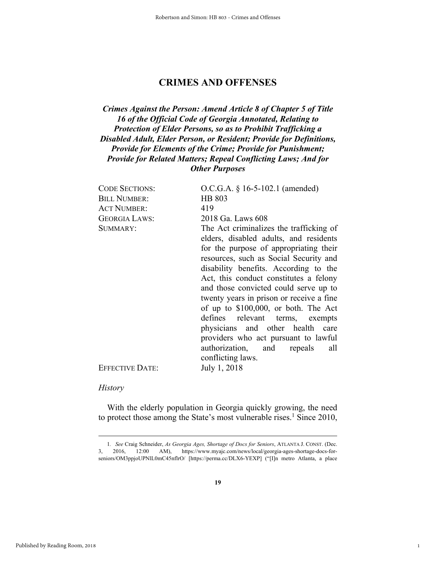# **CRIMES AND OFFENSES**

# *Crimes Against the Person: Amend Article 8 of Chapter 5 of Title 16 of the Official Code of Georgia Annotated, Relating to Protection of Elder Persons, so as to Prohibit Trafficking a Disabled Adult, Elder Person, or Resident; Provide for Definitions, Provide for Elements of the Crime; Provide for Punishment; Provide for Related Matters; Repeal Conflicting Laws; And for Other Purposes*

| <b>CODE SECTIONS:</b>  | O.C.G.A. § 16-5-102.1 (amended)          |
|------------------------|------------------------------------------|
| <b>BILL NUMBER:</b>    | HB 803                                   |
| <b>ACT NUMBER:</b>     | 419                                      |
| <b>GEORGIA LAWS:</b>   | 2018 Ga. Laws 608                        |
| SUMMARY:               | The Act criminalizes the trafficking of  |
|                        | elders, disabled adults, and residents   |
|                        | for the purpose of appropriating their   |
|                        | resources, such as Social Security and   |
|                        | disability benefits. According to the    |
|                        | Act, this conduct constitutes a felony   |
|                        | and those convicted could serve up to    |
|                        | twenty years in prison or receive a fine |
|                        | of up to \$100,000, or both. The Act     |
|                        | defines relevant terms, exempts          |
|                        | physicians and other health care         |
|                        | providers who act pursuant to lawful     |
|                        | authorization, and repeals all           |
|                        | conflicting laws.                        |
| <b>EFFECTIVE DATE:</b> | July 1, 2018                             |
|                        |                                          |

# *History*

**With the elderly population in Georgia quickly growing, the need**  to protect those among the State's most vulnerable rises.<sup>1</sup> Since 2010,

1

 **<sup>1</sup>***. See* **Craig Schneider,** *As Georgia Ages, Shortage of Docs for Seniors***, ATLANTA J. CONST. (Dec. 3, 2016, 12:00 AM), https://www.myajc.com/news/local/georgia-ages-shortage-docs-forseniors/OM3ppjoUPNlL0mC45nflrO/ [https://perma.cc/DLX6-YEXP] ("[I]n metro Atlanta, a place**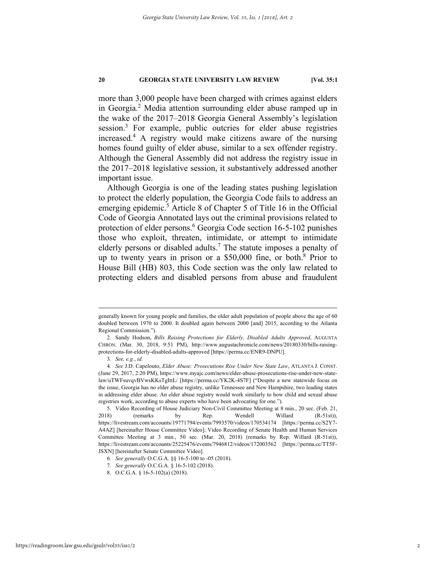**more than 3,000 people have been charged with crimes against elders in Georgia.2 Media attention surrounding elder abuse ramped up in the wake of the 2017–2018 Georgia General Assembly's legislation session.3 For example, public outcries for elder abuse registries increased.4 A registry would make citizens aware of the nursing homes found guilty of elder abuse, similar to a sex offender registry. Although the General Assembly did not address the registry issue in the 2017–2018 legislative session, it substantively addressed another important issue.** 

**Although Georgia is one of the leading states pushing legislation to protect the elderly population, the Georgia Code fails to address an**  emerging epidemic.<sup>5</sup> Article 8 of Chapter 5 of Title 16 in the Official **Code of Georgia Annotated lays out the criminal provisions related to**  protection of elder persons.<sup>6</sup> Georgia Code section 16-5-102 punishes **those who exploit, threaten, intimidate, or attempt to intimidate elderly persons or disabled adults.7 The statute imposes a penalty of up to twenty years in prison or a \$50,000 fine, or both.8 Prior to House Bill (HB) 803, this Code section was the only law related to protecting elders and disabled persons from abuse and fraudulent** 

**generally known for young people and families, the older adult population of people above the age of 60 doubled between 1970 to 2000. It doubled again between 2000 [and] 2015, according to the Atlanta Regional Commission.").** 

 **<sup>2.</sup> Sandy Hodson,** *Bills Raising Protections for Elderly, Disabled Adults Approved***, AUGUSTA CHRON. (Mar. 30, 2018, 9:51 PM), http://www.augustachronicle.com/news/20180330/bills-raisingprotections-for-elderly-disabled-adults-approved [https://perma.cc/ENR9-DNPU].** 

**<sup>3</sup>***. See, e.g.***,** *id.*

**<sup>4</sup>***. See* **J.D. Capelouto,** *Elder Abuse: Prosecutions Rise Under New State Law***, ATLANTA J. CONST. (June 29, 2017, 2:20 PM), https://www.myajc.com/news/elder-abuse-prosecutions-rise-under-new-statelaw/uTWFsuvqvBVwsKKsTgIttL/ [https://perma.cc/YK2K-4S7F] ("Despite a new statewide focus on the issue, Georgia has no elder abuse registry, unlike Tennessee and New Hampshire, two leading states in addressing elder abuse. An elder abuse registry would work similarly to how child and sexual abuse registries work, according to abuse experts who have been advocating for one.").** 

 **<sup>5.</sup> Video Recording of House Judiciary Non-Civil Committee Meeting at 8 min., 20 sec. (Feb. 21, 2018) (remarks by Rep. Wendell Willard (R-51st)), https://livestream.com/accounts/19771794/events/7993570/videos/170534174 [https://perma.cc/S2Y7- A4AZ] [hereinafter House Committee Video]; Video Recording of Senate Health and Human Services Committee Meeting at 3 min., 50 sec. (Mar. 20, 2018) (remarks by Rep. Willard (R-51st)), https://livestream.com/accounts/25225476/events/7946812/videos/172003562 [https://perma.cc/TT5F-JSXN] [hereinafter Senate Committee Video].** 

**<sup>6</sup>***. See generally* **O.C.G.A. §§ 16-5-100 to -05 (2018).** 

**<sup>7</sup>***. See generally* **O.C.G.A. § 16-5-102 (2018).** 

 **<sup>8.</sup> O.C.G.A. § 16-5-102(a) (2018).**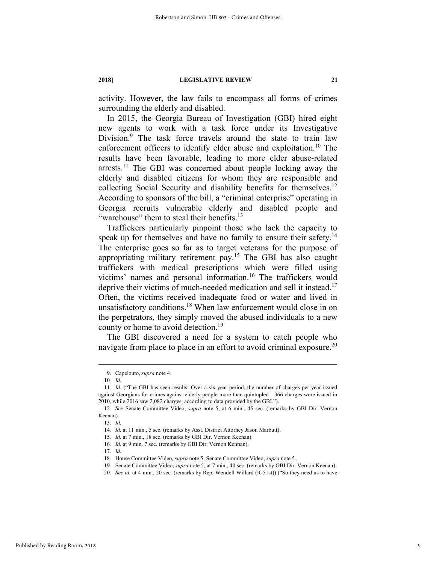**activity. However, the law fails to encompass all forms of crimes surrounding the elderly and disabled.** 

**In 2015, the Georgia Bureau of Investigation (GBI) hired eight new agents to work with a task force under its Investigative Division.9 The task force travels around the state to train law enforcement officers to identify elder abuse and exploitation.10 The results have been favorable, leading to more elder abuse-related arrests.11 The GBI was concerned about people locking away the elderly and disabled citizens for whom they are responsible and collecting Social Security and disability benefits for themselves.12 According to sponsors of the bill, a "criminal enterprise" operating in Georgia recruits vulnerable elderly and disabled people and "warehouse" them to steal their benefits.13**

**Traffickers particularly pinpoint those who lack the capacity to**  speak up for themselves and have no family to ensure their safety.<sup>14</sup> **The enterprise goes so far as to target veterans for the purpose of appropriating military retirement pay.15 The GBI has also caught traffickers with medical prescriptions which were filled using victims' names and personal information.16 The traffickers would deprive their victims of much-needed medication and sell it instead.17 Often, the victims received inadequate food or water and lived in unsatisfactory conditions.18 When law enforcement would close in on the perpetrators, they simply moved the abused individuals to a new county or home to avoid detection.19**

**The GBI discovered a need for a system to catch people who navigate from place to place in an effort to avoid criminal exposure.20**

 **<sup>9.</sup> Capelouto,** *supra* **note 4.** 

**<sup>10</sup>***. Id.*

**<sup>11</sup>***. Id.* **("The GBI has seen results: Over a six-year period, the number of charges per year issued against Georgians for crimes against elderly people more than quintupled—366 charges were issued in 2010, while 2016 saw 2,082 charges, according to data provided by the GBI.").** 

**<sup>12</sup>***. See* **Senate Committee Video,** *supra* **note 5, at 6 min., 45 sec. (remarks by GBI Dir. Vernon Keenan).** 

**<sup>13</sup>***. Id.*

**<sup>14</sup>***. Id.* **at 11 min., 5 sec. (remarks by Asst. District Attorney Jason Marbutt).** 

**<sup>15</sup>***. Id.* **at 7 min., 18 sec. (remarks by GBI Dir. Vernon Keenan).** 

**<sup>16</sup>***. Id.* **at 9 min. 7 sec. (remarks by GBI Dir. Vernon Kennan).** 

**<sup>17</sup>***. Id.*

 **<sup>18.</sup> House Committee Video,** *supra* **note 5; Senate Committee Video,** *supra* **note 5.** 

 **<sup>19.</sup> Senate Committee Video,** *supra* **note 5, at 7 min., 40 sec. (remarks by GBI Dir. Vernon Keenan).** 

**<sup>20</sup>***. See id.* **at 4 min., 20 sec. (remarks by Rep. Wendell Willard (R-51st)) ("So they need us to have**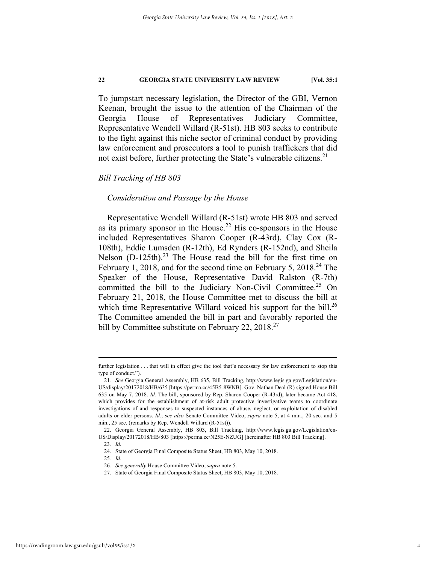**To jumpstart necessary legislation, the Director of the GBI, Vernon Keenan, brought the issue to the attention of the Chairman of the Georgia House of Representatives Judiciary Committee, Representative Wendell Willard (R-51st). HB 803 seeks to contribute to the fight against this niche sector of criminal conduct by providing law enforcement and prosecutors a tool to punish traffickers that did not exist before, further protecting the State's vulnerable citizens.21**

# *Bill Tracking of HB 803*

# *Consideration and Passage by the House*

**Representative Wendell Willard (R-51st) wrote HB 803 and served as its primary sponsor in the House.22 His co-sponsors in the House included Representatives Sharon Cooper (R-43rd), Clay Cox (R-108th), Eddie Lumsden (R-12th), Ed Rynders (R-152nd), and Sheila**  Nelson (D-125th).<sup>23</sup> The House read the bill for the first time on **February 1, 2018, and for the second time on February 5, 2018.24 The Speaker of the House, Representative David Ralston (R-7th) committed the bill to the Judiciary Non-Civil Committee.25 On February 21, 2018, the House Committee met to discuss the bill at**  which time Representative Willard voiced his support for the bill.<sup>26</sup> **The Committee amended the bill in part and favorably reported the bill by Committee substitute on February 22, 2018.27**

further legislation . . . that will in effect give the tool that's necessary for law enforcement to stop this **type of conduct.").** 

**<sup>21</sup>***. See* **Georgia General Assembly, HB 635, Bill Tracking, http://www.legis.ga.gov/Legislation/en-US/display/20172018/HB/635 [https://perma.cc/45B5-8WNB]. Gov. Nathan Deal (R) signed House Bill 635 on May 7, 2018.** *Id.* **The bill, sponsored by Rep. Sharon Cooper (R-43rd), later became Act 418, which provides for the establishment of at-risk adult protective investigative teams to coordinate investigations of and responses to suspected instances of abuse, neglect, or exploitation of disabled adults or elder persons.** *Id.***;** *see also* **Senate Committee Video,** *supra* **note 5, at 4 min., 20 sec. and 5 min., 25 sec. (remarks by Rep. Wendell Willard (R-51st)).** 

 **<sup>22.</sup> Georgia General Assembly, HB 803, Bill Tracking, http://www.legis.ga.gov/Legislation/en-US/Display/20172018/HB/803 [https://perma.cc/N25E-NZUG] [hereinafter HB 803 Bill Tracking].** 

**<sup>23</sup>***. Id.*  **24. State of Georgia Final Composite Status Sheet, HB 803, May 10, 2018.** 

**<sup>25</sup>***. Id.*

**<sup>26</sup>***. See generally* **House Committee Video,** *supra* **note 5.** 

 **<sup>27.</sup> State of Georgia Final Composite Status Sheet, HB 803, May 10, 2018.**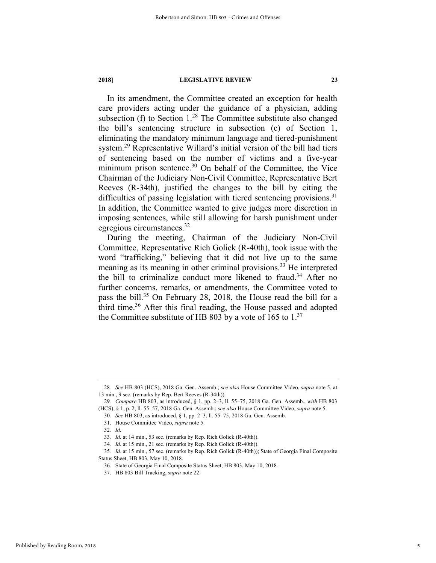**In its amendment, the Committee created an exception for health care providers acting under the guidance of a physician, adding subsection (f) to Section 1.28 The Committee substitute also changed the bill's sentencing structure in subsection (c) of Section 1, eliminating the mandatory minimum language and tiered-punishment system.29 Representative Willard's initial version of the bill had tiers of sentencing based on the number of victims and a five-year minimum prison sentence.30 On behalf of the Committee, the Vice Chairman of the Judiciary Non-Civil Committee, Representative Bert Reeves (R-34th), justified the changes to the bill by citing the difficulties of passing legislation with tiered sentencing provisions.31 In addition, the Committee wanted to give judges more discretion in imposing sentences, while still allowing for harsh punishment under egregious circumstances.32**

**During the meeting, Chairman of the Judiciary Non-Civil Committee, Representative Rich Golick (R-40th), took issue with the word "trafficking," believing that it did not live up to the same meaning as its meaning in other criminal provisions.33 He interpreted the bill to criminalize conduct more likened to fraud.34 After no further concerns, remarks, or amendments, the Committee voted to pass the bill.35 On February 28, 2018, the House read the bill for a third time.36 After this final reading, the House passed and adopted the Committee substitute of HB 803 by a vote of 165 to 1.<sup>37</sup>**

 **31. House Committee Video,** *supra* **note 5.** 

 **<sup>28</sup>***. See* **HB 803 (HCS), 2018 Ga. Gen. Assemb.;** *see also* **House Committee Video,** *supra* **note 5, at 13 min., 9 sec. (remarks by Rep. Bert Reeves (R-34th)).** 

**<sup>29</sup>***. Compare* **HB 803, as introduced, § 1, pp. 2–3, ll. 55–75, 2018 Ga. Gen. Assemb.,** *with* **HB 803 (HCS), § 1, p. 2, ll. 55–57, 2018 Ga. Gen. Assemb.;** *see also* **House Committee Video,** *supra* **note 5.** 

**<sup>30</sup>***. See* **HB 803, as introduced, § 1, pp. 2–3, ll. 55–75, 2018 Ga. Gen. Assemb.** 

**<sup>32</sup>***. Id.*

**<sup>33</sup>***. Id.* **at 14 min., 53 sec. (remarks by Rep. Rich Golick (R-40th)).** 

**<sup>34</sup>***. Id.* **at 15 min., 21 sec. (remarks by Rep. Rich Golick (R-40th)).** 

**<sup>35</sup>***. Id.* **at 15 min., 57 sec. (remarks by Rep. Rich Golick (R-40th)); State of Georgia Final Composite Status Sheet, HB 803, May 10, 2018.** 

 **<sup>36.</sup> State of Georgia Final Composite Status Sheet, HB 803, May 10, 2018.** 

 **<sup>37.</sup> HB 803 Bill Tracking,** *supra* **note 22.**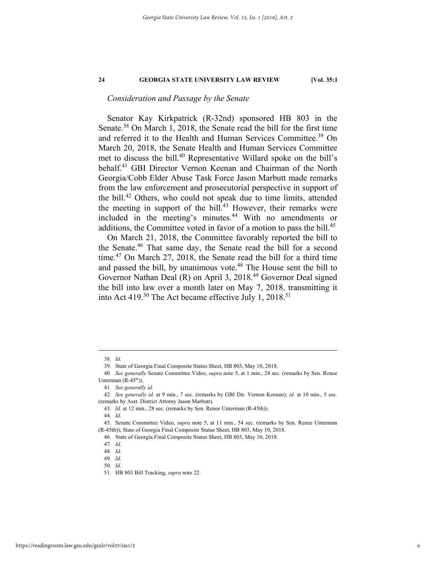# *Consideration and Passage by the Senate*

**Senator Kay Kirkpatrick (R-32nd) sponsored HB 803 in the Senate.38 On March 1, 2018, the Senate read the bill for the first time and referred it to the Health and Human Services Committee.39 On March 20, 2018, the Senate Health and Human Services Committee met to discuss the bill.40 Representative Willard spoke on the bill's behalf.41 GBI Director Vernon Keenan and Chairman of the North Georgia/Cobb Elder Abuse Task Force Jason Marbutt made remarks from the law enforcement and prosecutorial perspective in support of the bill.42 Others, who could not speak due to time limits, attended the meeting in support of the bill.43 However, their remarks were included in the meeting's minutes.44 With no amendments or additions, the Committee voted in favor of a motion to pass the bill.45**

**On March 21, 2018, the Committee favorably reported the bill to the Senate.46 That same day, the Senate read the bill for a second time.47 On March 27, 2018, the Senate read the bill for a third time**  and passed the bill, by unanimous vote.<sup>48</sup> The House sent the bill to **Governor Nathan Deal (R) on April 3, 2018.49 Governor Deal signed the bill into law over a month later on May 7, 2018, transmitting it into Act 419.50 The Act became effective July 1, 2018.51**

**44***. Id.*

 **<sup>38</sup>***. Id.*

 **<sup>39.</sup> State of Georgia Final Composite Status Sheet, HB 803, May 10, 2018.** 

**<sup>40</sup>***. See generally* **Senate Committee Video,** *supra* **note 5, at 1 min., 24 sec. (remarks by Sen. Renee**  Unterman  $(R-45<sup>th</sup>)$ ).

**<sup>41</sup>***. See generally id.*

**<sup>42</sup>***. See generally id.* **at 9 min., 7 sec. (remarks by GBI Dir. Vernon Keenan);** *id.* **at 10 min., 5 sec. (remarks by Asst. District Attorny Jason Marbutt).** 

**<sup>43</sup>***. Id.* **at 12 min., 28 sec. (remarks by Sen. Renee Unterman (R-45th)).**

 **<sup>45.</sup> Senate Committee Video,** *supra* **note 5, at 11 min., 54 sec. (remarks by Sen. Renee Unterman (R-45th)); State of Georgia Final Composite Status Sheet, HB 803, May 10, 2018.** 

 **<sup>46.</sup> State of Georgia Final Composite Status Sheet, HB 803, May 10, 2018.** 

**<sup>47</sup>***. Id.*

**<sup>48</sup>***. Id.*

**<sup>49</sup>***. Id.*

**<sup>50</sup>***. Id.*

 **<sup>51.</sup> HB 803 Bill Tracking,** *supra* **note 22.**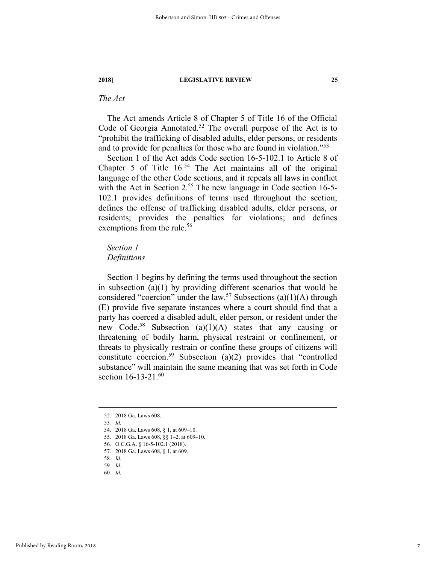# *The Act*

**The Act amends Article 8 of Chapter 5 of Title 16 of the Official Code of Georgia Annotated.52 The overall purpose of the Act is to "prohibit the trafficking of disabled adults, elder persons, or residents and to provide for penalties for those who are found in violation."<sup>53</sup>**

**Section 1 of the Act adds Code section 16-5-102.1 to Article 8 of Chapter 5 of Title 16.54 The Act maintains all of the original language of the other Code sections, and it repeals all laws in conflict with the Act in Section 2.55 The new language in Code section 16-5- 102.1 provides definitions of terms used throughout the section; defines the offense of trafficking disabled adults, elder persons, or residents; provides the penalties for violations; and defines exemptions from the rule.56**

# *Section 1 Definitions*

**Section 1 begins by defining the terms used throughout the section in subsection (a)(1) by providing different scenarios that would be considered "coercion" under the law.57 Subsections (a)(1)(A) through (E) provide five separate instances where a court should find that a party has coerced a disabled adult, elder person, or resident under the new Code.58 Subsection (a)(1)(A) states that any causing or threatening of bodily harm, physical restraint or confinement, or threats to physically restrain or confine these groups of citizens will constitute coercion.59 Subsection (a)(2) provides that "controlled substance" will maintain the same meaning that was set forth in Code section 16-13-21.60**

 **<sup>52. 2018</sup> Ga. Laws 608.** 

**<sup>53</sup>***. Id.* 

 **<sup>54. 2018</sup> Ga. Laws 608, § 1, at 609–10.**

 **<sup>55. 2018</sup> Ga. Laws 608, §§ 1–2, at 609–10.** 

 **<sup>56.</sup> O.C.G.A. § 16-5-102.1 (2018).** 

 **<sup>57. 2018</sup> Ga. Laws 608, § 1, at 609.** 

**<sup>58</sup>***. Id.* 

**<sup>59</sup>***. Id.* 

**<sup>60</sup>***. Id.*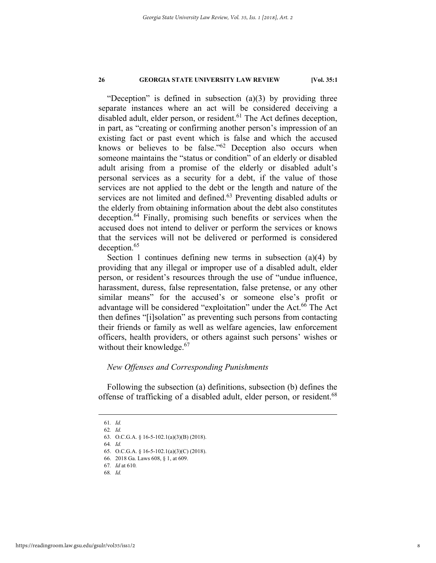**"Deception" is defined in subsection (a)(3) by providing three separate instances where an act will be considered deceiving a**  disabled adult, elder person, or resident.<sup>61</sup> The Act defines deception, **in part, as "creating or confirming another person's impression of an existing fact or past event which is false and which the accused knows or believes to be false."62 Deception also occurs when someone maintains the "status or condition" of an elderly or disabled adult arising from a promise of the elderly or disabled adult's personal services as a security for a debt, if the value of those services are not applied to the debt or the length and nature of the services are not limited and defined.63 Preventing disabled adults or the elderly from obtaining information about the debt also constitutes deception.64 Finally, promising such benefits or services when the accused does not intend to deliver or perform the services or knows that the services will not be delivered or performed is considered deception.65**

**Section 1 continues defining new terms in subsection (a)(4) by providing that any illegal or improper use of a disabled adult, elder person, or resident's resources through the use of "undue influence, harassment, duress, false representation, false pretense, or any other similar means" for the accused's or someone else's profit or**  advantage will be considered "exploitation" under the Act.<sup>66</sup> The Act **then defines "[i]solation" as preventing such persons from contacting their friends or family as well as welfare agencies, law enforcement officers, health providers, or others against such persons' wishes or without their knowledge.67**

# *New Offenses and Corresponding Punishments*

**Following the subsection (a) definitions, subsection (b) defines the offense of trafficking of a disabled adult, elder person, or resident.68**

**68***. Id.*

 **<sup>61</sup>***. Id.* 

**<sup>62</sup>***. Id.*

 **<sup>63.</sup> O.C.G.A. § 16-5-102.1(a)(3)(B) (2018).** 

**<sup>64</sup>***. Id.* 

 **<sup>65.</sup> O.C.G.A. § 16-5-102.1(a)(3)(C) (2018).**

 **<sup>66. 2018</sup> Ga. Laws 608, § 1, at 609.**

**<sup>67</sup>***. Id* **at 610***.*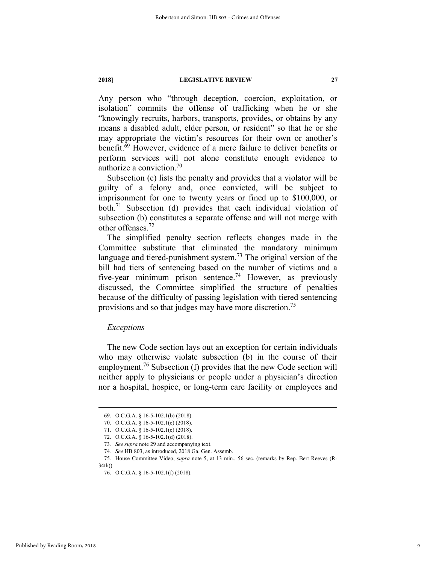**Any person who "through deception, coercion, exploitation, or isolation" commits the offense of trafficking when he or she "knowingly recruits, harbors, transports, provides, or obtains by any means a disabled adult, elder person, or resident" so that he or she may appropriate the victim's resources for their own or another's benefit.69 However, evidence of a mere failure to deliver benefits or perform services will not alone constitute enough evidence to authorize a conviction.70**

**Subsection (c) lists the penalty and provides that a violator will be guilty of a felony and, once convicted, will be subject to imprisonment for one to twenty years or fined up to \$100,000, or both.71 Subsection (d) provides that each individual violation of subsection (b) constitutes a separate offense and will not merge with other offenses.<sup>72</sup>**

**The simplified penalty section reflects changes made in the Committee substitute that eliminated the mandatory minimum language and tiered-punishment system.73 The original version of the bill had tiers of sentencing based on the number of victims and a five-year minimum prison sentence.74 However, as previously discussed, the Committee simplified the structure of penalties because of the difficulty of passing legislation with tiered sentencing provisions and so that judges may have more discretion.75**

# *Exceptions*

**The new Code section lays out an exception for certain individuals who may otherwise violate subsection (b) in the course of their employment.76 Subsection (f) provides that the new Code section will neither apply to physicians or people under a physician's direction nor a hospital, hospice, or long-term care facility or employees and** 

 **<sup>69.</sup> O.C.G.A. § 16-5-102.1(b) (2018).** 

 **<sup>70.</sup> O.C.G.A. § 16-5-102.1(e) (2018).**

 **<sup>71.</sup> O.C.G.A. § 16-5-102.1(c) (2018).**

 **<sup>72.</sup> O.C.G.A. § 16-5-102.1(d) (2018).**

**<sup>73</sup>***. See supra* **note 29 and accompanying text.** 

**<sup>74</sup>***. See* **HB 803, as introduced, 2018 Ga. Gen. Assemb.** 

 **<sup>75.</sup> House Committee Video,** *supra* **note 5, at 13 min., 56 sec. (remarks by Rep. Bert Reeves (R-34th)).** 

 **<sup>76.</sup> O.C.G.A. § 16-5-102.1(f) (2018).**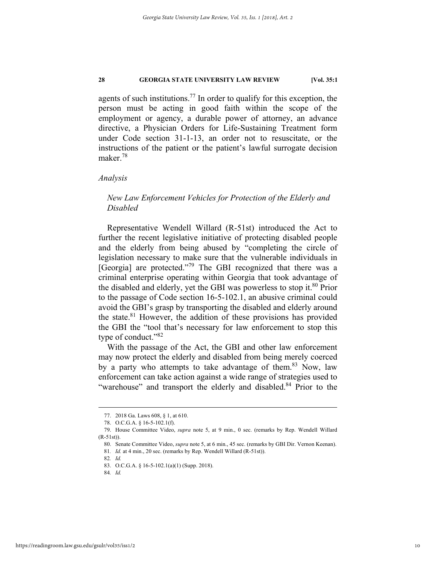**agents of such institutions.77 In order to qualify for this exception, the person must be acting in good faith within the scope of the employment or agency, a durable power of attorney, an advance directive, a Physician Orders for Life-Sustaining Treatment form under Code section 31-1-13, an order not to resuscitate, or the instructions of the patient or the patient's lawful surrogate decision maker.<sup>78</sup>**

# *Analysis*

# *New Law Enforcement Vehicles for Protection of the Elderly and Disabled*

**Representative Wendell Willard (R-51st) introduced the Act to further the recent legislative initiative of protecting disabled people and the elderly from being abused by "completing the circle of legislation necessary to make sure that the vulnerable individuals in [Georgia] are protected."79 The GBI recognized that there was a criminal enterprise operating within Georgia that took advantage of the disabled and elderly, yet the GBI was powerless to stop it.80 Prior to the passage of Code section 16-5-102.1, an abusive criminal could avoid the GBI's grasp by transporting the disabled and elderly around the state.81 However, the addition of these provisions has provided the GBI the "tool that's necessary for law enforcement to stop this type of conduct."82**

**With the passage of the Act, the GBI and other law enforcement may now protect the elderly and disabled from being merely coerced by a party who attempts to take advantage of them.83 Now, law enforcement can take action against a wide range of strategies used to**  "warehouse" and transport the elderly and disabled.<sup>84</sup> Prior to the

 **<sup>77. 2018</sup> Ga. Laws 608, § 1, at 610.**

 **<sup>78.</sup> O.C.G.A. § 16-5-102.1(f).**

 **<sup>79.</sup> House Committee Video,** *supra* **note 5, at 9 min., 0 sec. (remarks by Rep. Wendell Willard (R-51st)).** 

 **<sup>80.</sup> Senate Committee Video,** *supra* **note 5, at 6 min., 45 sec. (remarks by GBI Dir. Vernon Keenan).**

**<sup>81</sup>***. Id.* **at 4 min., 20 sec. (remarks by Rep. Wendell Willard (R-51st)).**

**<sup>82</sup>***. Id.*

 **<sup>83.</sup> O.C.G.A. § 16-5-102.1(a)(1) (Supp. 2018).** 

**<sup>84</sup>***. Id.*